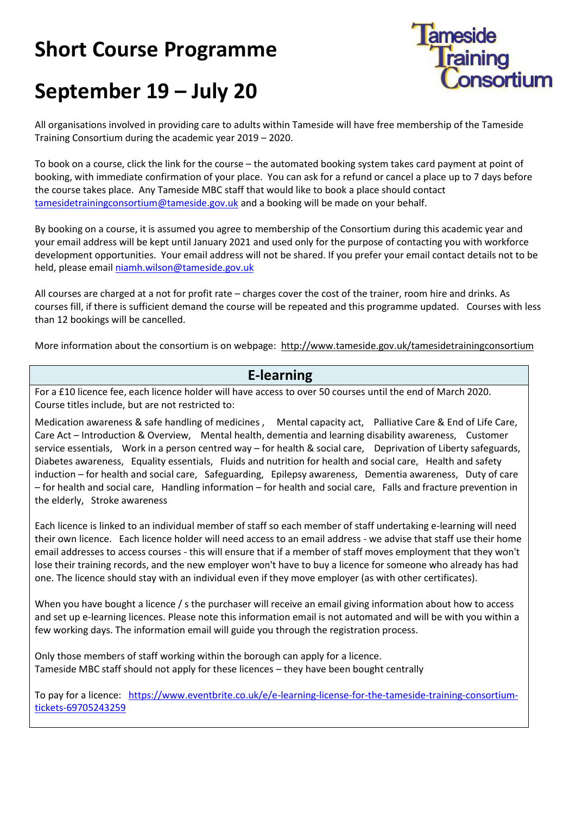## **Short Course Programme**



## **September 19 – July 20**

All organisations involved in providing care to adults within Tameside will have free membership of the Tameside Training Consortium during the academic year 2019 – 2020.

To book on a course, click the link for the course – the automated booking system takes card payment at point of booking, with immediate confirmation of your place. You can ask for a refund or cancel a place up to 7 days before the course takes place. Any Tameside MBC staff that would like to book a place should contact [tamesidetrainingconsortium@tameside.gov.uk](mailto:tamesidetrainingconsortium@tameside.gov.uk) and a booking will be made on your behalf.

By booking on a course, it is assumed you agree to membership of the Consortium during this academic year and your email address will be kept until January 2021 and used only for the purpose of contacting you with workforce development opportunities. Your email address will not be shared. If you prefer your email contact details not to be held, please email [niamh.wilson@tameside.gov.uk](mailto:niamh.wilson@tameside.gov.uk)

All courses are charged at a not for profit rate – charges cover the cost of the trainer, room hire and drinks. As courses fill, if there is sufficient demand the course will be repeated and this programme updated. Courses with less than 12 bookings will be cancelled.

More information about the consortium is on webpage: http://www.tameside.gov.uk/tamesidetrainingconsortium

## **E-learning**

For a £10 licence fee, each licence holder will have access to over 50 courses until the end of March 2020. Course titles include, but are not restricted to:

Medication awareness & safe handling of medicines , Mental capacity act, Palliative Care & End of Life Care, Care Act – Introduction & Overview, Mental health, dementia and learning disability awareness, Customer service essentials, Work in a person centred way – for health & social care, Deprivation of Liberty safeguards, Diabetes awareness, Equality essentials, Fluids and nutrition for health and social care, Health and safety induction – for health and social care, Safeguarding, Epilepsy awareness, Dementia awareness, Duty of care – for health and social care, Handling information – for health and social care, Falls and fracture prevention in the elderly, Stroke awareness

Each licence is linked to an individual member of staff so each member of staff undertaking e-learning will need their own licence. Each licence holder will need access to an email address - we advise that staff use their home email addresses to access courses - this will ensure that if a member of staff moves employment that they won't lose their training records, and the new employer won't have to buy a licence for someone who already has had one. The licence should stay with an individual even if they move employer (as with other certificates).

When you have bought a licence / s the purchaser will receive an email giving information about how to access and set up e-learning licences. Please note this information email is not automated and will be with you within a few working days. The information email will guide you through the registration process.

Only those members of staff working within the borough can apply for a licence. Tameside MBC staff should not apply for these licences – they have been bought centrally

To pay for a licence: [https://www.eventbrite.co.uk/e/e-learning-license-for-the-tameside-training-consortium](https://www.eventbrite.co.uk/e/e-learning-license-for-the-tameside-training-consortium-tickets-69705243259)[tickets-69705243259](https://www.eventbrite.co.uk/e/e-learning-license-for-the-tameside-training-consortium-tickets-69705243259)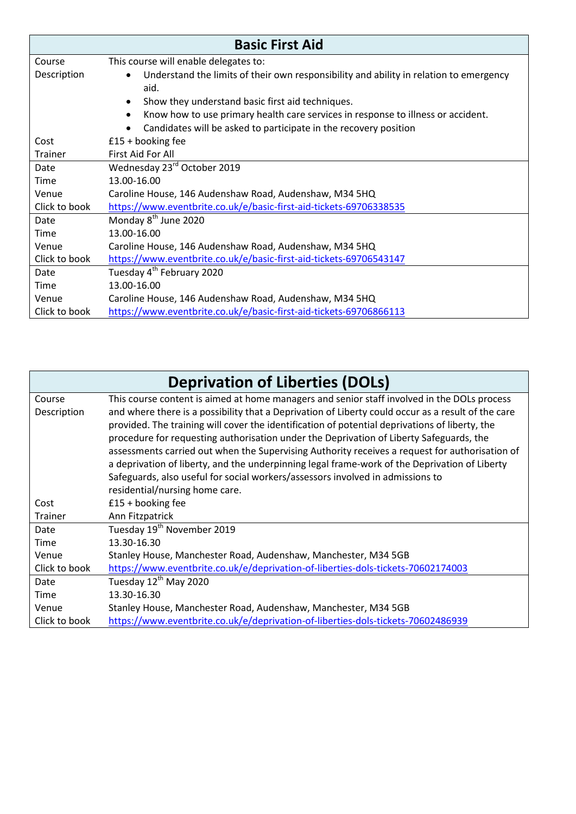| <b>Basic First Aid</b> |                                                                                                             |  |
|------------------------|-------------------------------------------------------------------------------------------------------------|--|
| Course                 | This course will enable delegates to:                                                                       |  |
| Description            | Understand the limits of their own responsibility and ability in relation to emergency<br>$\bullet$<br>aid. |  |
|                        | Show they understand basic first aid techniques.<br>$\bullet$                                               |  |
|                        | Know how to use primary health care services in response to illness or accident.<br>$\bullet$               |  |
|                        | Candidates will be asked to participate in the recovery position                                            |  |
| Cost                   | $£15 +$ booking fee                                                                                         |  |
| <b>Trainer</b>         | First Aid For All                                                                                           |  |
| Date                   | Wednesday 23rd October 2019                                                                                 |  |
| Time                   | 13.00-16.00                                                                                                 |  |
| Venue                  | Caroline House, 146 Audenshaw Road, Audenshaw, M34 5HQ                                                      |  |
| Click to book          | https://www.eventbrite.co.uk/e/basic-first-aid-tickets-69706338535                                          |  |
| Date                   | Monday 8 <sup>th</sup> June 2020                                                                            |  |
| Time                   | 13.00-16.00                                                                                                 |  |
| Venue                  | Caroline House, 146 Audenshaw Road, Audenshaw, M34 5HQ                                                      |  |
| Click to book          | https://www.eventbrite.co.uk/e/basic-first-aid-tickets-69706543147                                          |  |
| Date                   | Tuesday 4 <sup>th</sup> February 2020                                                                       |  |
| Time                   | 13.00-16.00                                                                                                 |  |
| Venue                  | Caroline House, 146 Audenshaw Road, Audenshaw, M34 5HQ                                                      |  |
| Click to book          | https://www.eventbrite.co.uk/e/basic-first-aid-tickets-69706866113                                          |  |

|                       | <b>Deprivation of Liberties (DOLs)</b>                                                                                                                                                                                                                                                              |
|-----------------------|-----------------------------------------------------------------------------------------------------------------------------------------------------------------------------------------------------------------------------------------------------------------------------------------------------|
| Course<br>Description | This course content is aimed at home managers and senior staff involved in the DOLs process<br>and where there is a possibility that a Deprivation of Liberty could occur as a result of the care<br>provided. The training will cover the identification of potential deprivations of liberty, the |
|                       | procedure for requesting authorisation under the Deprivation of Liberty Safeguards, the<br>assessments carried out when the Supervising Authority receives a request for authorisation of                                                                                                           |
|                       | a deprivation of liberty, and the underpinning legal frame-work of the Deprivation of Liberty                                                                                                                                                                                                       |
|                       | Safeguards, also useful for social workers/assessors involved in admissions to<br>residential/nursing home care.                                                                                                                                                                                    |
| Cost                  | $£15 +$ booking fee                                                                                                                                                                                                                                                                                 |
| Trainer               | Ann Fitzpatrick                                                                                                                                                                                                                                                                                     |
| Date                  | Tuesday 19 <sup>th</sup> November 2019                                                                                                                                                                                                                                                              |
| Time                  | 13.30-16.30                                                                                                                                                                                                                                                                                         |
| Venue                 | Stanley House, Manchester Road, Audenshaw, Manchester, M34 5GB                                                                                                                                                                                                                                      |
| Click to book         | https://www.eventbrite.co.uk/e/deprivation-of-liberties-dols-tickets-70602174003                                                                                                                                                                                                                    |
| Date                  | Tuesday 12 <sup>th</sup> May 2020                                                                                                                                                                                                                                                                   |
| Time                  | 13.30-16.30                                                                                                                                                                                                                                                                                         |
| Venue                 | Stanley House, Manchester Road, Audenshaw, Manchester, M34 5GB                                                                                                                                                                                                                                      |
| Click to book         | https://www.eventbrite.co.uk/e/deprivation-of-liberties-dols-tickets-70602486939                                                                                                                                                                                                                    |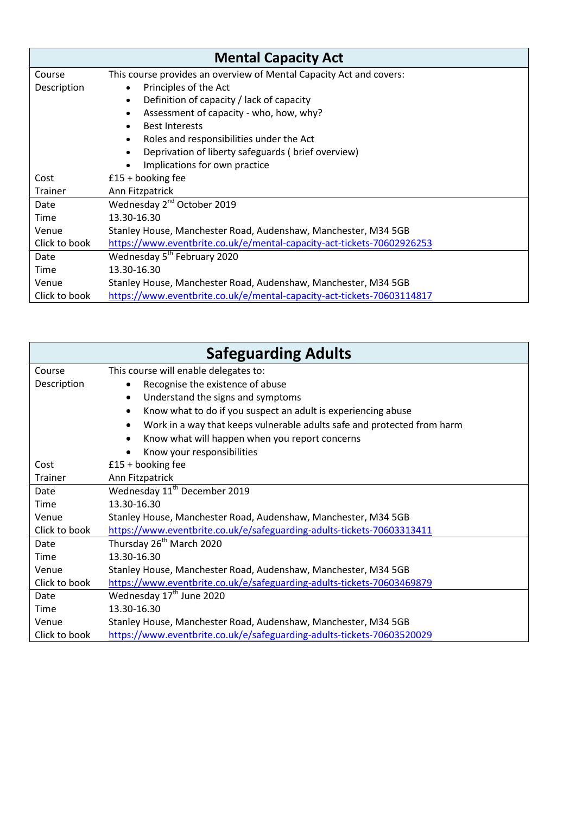| <b>Mental Capacity Act</b> |                                                                        |  |
|----------------------------|------------------------------------------------------------------------|--|
| Course                     | This course provides an overview of Mental Capacity Act and covers:    |  |
| Description                | Principles of the Act<br>$\bullet$                                     |  |
|                            | Definition of capacity / lack of capacity<br>$\bullet$                 |  |
|                            | Assessment of capacity - who, how, why?                                |  |
|                            | <b>Best Interests</b>                                                  |  |
|                            | Roles and responsibilities under the Act                               |  |
|                            | Deprivation of liberty safeguards (brief overview)<br>$\bullet$        |  |
|                            | Implications for own practice                                          |  |
| Cost                       | $£15 +$ booking fee                                                    |  |
| <b>Trainer</b>             | Ann Fitzpatrick                                                        |  |
| Date                       | Wednesday 2 <sup>nd</sup> October 2019                                 |  |
| Time                       | 13.30-16.30                                                            |  |
| Venue                      | Stanley House, Manchester Road, Audenshaw, Manchester, M34 5GB         |  |
| Click to book              | https://www.eventbrite.co.uk/e/mental-capacity-act-tickets-70602926253 |  |
| Date                       | Wednesday 5 <sup>th</sup> February 2020                                |  |
| Time                       | 13.30-16.30                                                            |  |
| Venue                      | Stanley House, Manchester Road, Audenshaw, Manchester, M34 5GB         |  |
| Click to book              | https://www.eventbrite.co.uk/e/mental-capacity-act-tickets-70603114817 |  |

| <b>Safeguarding Adults</b> |                                                                                      |  |
|----------------------------|--------------------------------------------------------------------------------------|--|
| Course                     | This course will enable delegates to:                                                |  |
| Description                | Recognise the existence of abuse                                                     |  |
|                            | Understand the signs and symptoms<br>$\bullet$                                       |  |
|                            | Know what to do if you suspect an adult is experiencing abuse<br>٠                   |  |
|                            | Work in a way that keeps vulnerable adults safe and protected from harm<br>$\bullet$ |  |
|                            | Know what will happen when you report concerns                                       |  |
|                            | Know your responsibilities                                                           |  |
| Cost                       | $£15 +$ booking fee                                                                  |  |
| Trainer                    | Ann Fitzpatrick                                                                      |  |
| Date                       | Wednesday 11 <sup>th</sup> December 2019                                             |  |
| Time                       | 13.30-16.30                                                                          |  |
| Venue                      | Stanley House, Manchester Road, Audenshaw, Manchester, M34 5GB                       |  |
| Click to book              | https://www.eventbrite.co.uk/e/safeguarding-adults-tickets-70603313411               |  |
| Date                       | Thursday 26 <sup>th</sup> March 2020                                                 |  |
| Time                       | 13.30-16.30                                                                          |  |
| Venue                      | Stanley House, Manchester Road, Audenshaw, Manchester, M34 5GB                       |  |
| Click to book              | https://www.eventbrite.co.uk/e/safeguarding-adults-tickets-70603469879               |  |
| Date                       | Wednesday 17 <sup>th</sup> June 2020                                                 |  |
| Time                       | 13.30-16.30                                                                          |  |
| Venue                      | Stanley House, Manchester Road, Audenshaw, Manchester, M34 5GB                       |  |
| Click to book              | https://www.eventbrite.co.uk/e/safeguarding-adults-tickets-70603520029               |  |